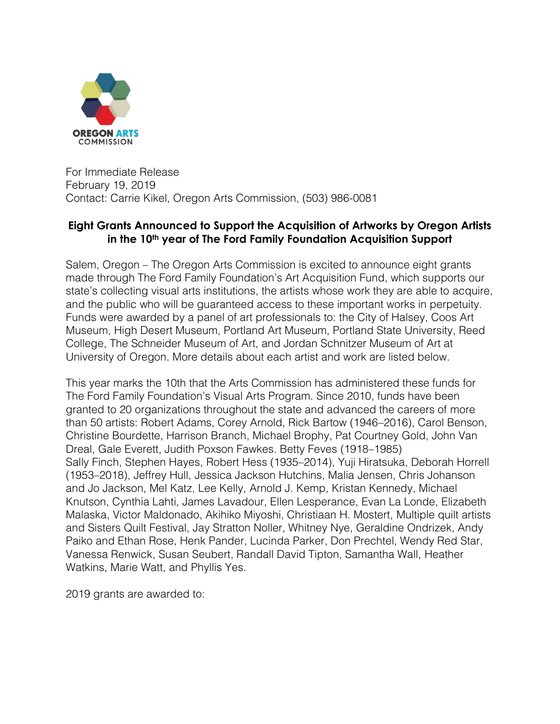

For Immediate Release February 19, 2019 Contact: Carrie Kikel, Oregon Arts Commission, (503) 986-0081

### **Eight Grants Announced to Support the Acquisition of Artworks by Oregon Artists in the 10th year of The Ford Family Foundation Acquisition Support**

Salem, Oregon – The Oregon Arts Commission is excited to announce eight grants made through The Ford Family Foundation's Art Acquisition Fund, which supports our state's collecting visual arts institutions, the artists whose work they are able to acquire, and the public who will be guaranteed access to these important works in perpetuity. Funds were awarded by a panel of art professionals to: the City of Halsey, Coos Art Museum, High Desert Museum, Portland Art Museum, Portland State University, Reed College, The Schneider Museum of Art, and Jordan Schnitzer Museum of Art at University of Oregon. More details about each artist and work are listed below.

This year marks the 10th that the Arts Commission has administered these funds for The Ford Family Foundation's Visual Arts Program. Since 2010, funds have been granted to 20 organizations throughout the state and advanced the careers of more than 50 artists: Robert Adams, Corey Arnold, Rick Bartow (1946–2016), Carol Benson, Christine Bourdette, Harrison Branch, Michael Brophy, Pat Courtney Gold, John Van Dreal, Gale Everett, Judith Poxson Fawkes. Betty Feves (1918–1985) Sally Finch, Stephen Hayes, Robert Hess (1935–2014), Yuji Hiratsuka, Deborah Horrell (1953–2018), Jeffrey Hull, Jessica Jackson Hutchins, Malia Jensen, Chris Johanson and Jo Jackson, Mel Katz, Lee Kelly, Arnold J. Kemp, Kristan Kennedy, Michael Knutson, Cynthia Lahti, James Lavadour, Ellen Lesperance, Evan La Londe, Elizabeth Malaska, Victor Maldonado, Akihiko Miyoshi, Christiaan H. Mostert, Multiple quilt artists and Sisters Quilt Festival, Jay Stratton Noller, Whitney Nye, Geraldine Ondrizek, Andy Paiko and Ethan Rose, Henk Pander, Lucinda Parker, Don Prechtel, Wendy Red Star, Vanessa Renwick, Susan Seubert, Randall David Tipton, Samantha Wall, Heather Watkins, Marie Watt, and Phyllis Yes.

2019 grants are awarded to: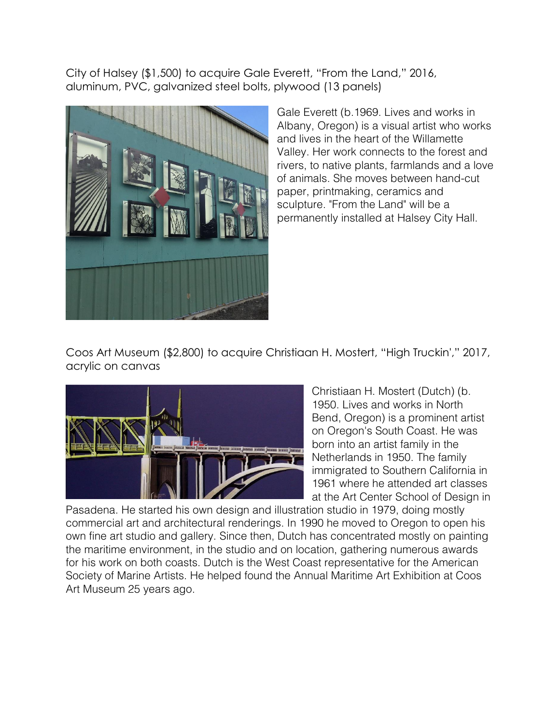City of Halsey (\$1,500) to acquire Gale Everett, "From the Land," 2016, aluminum, PVC, galvanized steel bolts, plywood (13 panels)



Gale Everett (b.1969. Lives and works in Albany, Oregon) is a visual artist who works and lives in the heart of the Willamette Valley. Her work connects to the forest and rivers, to native plants, farmlands and a love of animals. She moves between hand-cut paper, printmaking, ceramics and sculpture. "From the Land" will be a permanently installed at Halsey City Hall.

Coos Art Museum (\$2,800) to acquire Christiaan H. Mostert, "High Truckin'," 2017, acrylic on canvas



Christiaan H. Mostert (Dutch) (b. 1950. Lives and works in North Bend, Oregon) is a prominent artist on Oregon's South Coast. He was born into an artist family in the Netherlands in 1950. The family immigrated to Southern California in 1961 where he attended art classes at the Art Center School of Design in

Pasadena. He started his own design and illustration studio in 1979, doing mostly commercial art and architectural renderings. In 1990 he moved to Oregon to open his own fine art studio and gallery. Since then, Dutch has concentrated mostly on painting the maritime environment, in the studio and on location, gathering numerous awards for his work on both coasts. Dutch is the West Coast representative for the American Society of Marine Artists. He helped found the Annual Maritime Art Exhibition at Coos Art Museum 25 years ago.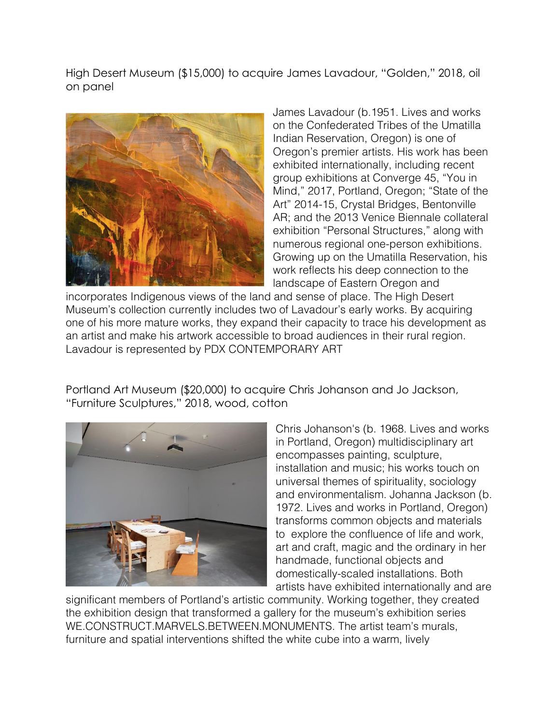High Desert Museum (\$15,000) to acquire James Lavadour, "Golden," 2018, oil on panel



James Lavadour (b.1951. Lives and works on the Confederated Tribes of the Umatilla Indian Reservation, Oregon) is one of Oregon's premier artists. His work has been exhibited internationally, including recent group exhibitions at Converge 45, "You in Mind," 2017, Portland, Oregon; "State of the Art" 2014-15, Crystal Bridges, Bentonville AR; and the 2013 Venice Biennale collateral exhibition "Personal Structures," along with numerous regional one-person exhibitions. Growing up on the Umatilla Reservation, his work reflects his deep connection to the landscape of Eastern Oregon and

incorporates Indigenous views of the land and sense of place. The High Desert Museum's collection currently includes two of Lavadour's early works. By acquiring one of his more mature works, they expand their capacity to trace his development as an artist and make his artwork accessible to broad audiences in their rural region. Lavadour is represented by PDX CONTEMPORARY ART

Portland Art Museum (\$20,000) to acquire Chris Johanson and Jo Jackson, "Furniture Sculptures," 2018, wood, cotton



Chris Johanson's (b. 1968. Lives and works in Portland, Oregon) multidisciplinary art encompasses painting, sculpture, installation and music; his works touch on universal themes of spirituality, sociology and environmentalism. Johanna Jackson (b. 1972. Lives and works in Portland, Oregon) transforms common objects and materials to explore the confluence of life and work, art and craft, magic and the ordinary in her handmade, functional objects and domestically-scaled installations. Both artists have exhibited internationally and are

significant members of Portland's artistic community. Working together, they created the exhibition design that transformed a gallery for the museum's exhibition series WE.CONSTRUCT.MARVELS.BETWEEN.MONUMENTS. The artist team's murals, furniture and spatial interventions shifted the white cube into a warm, lively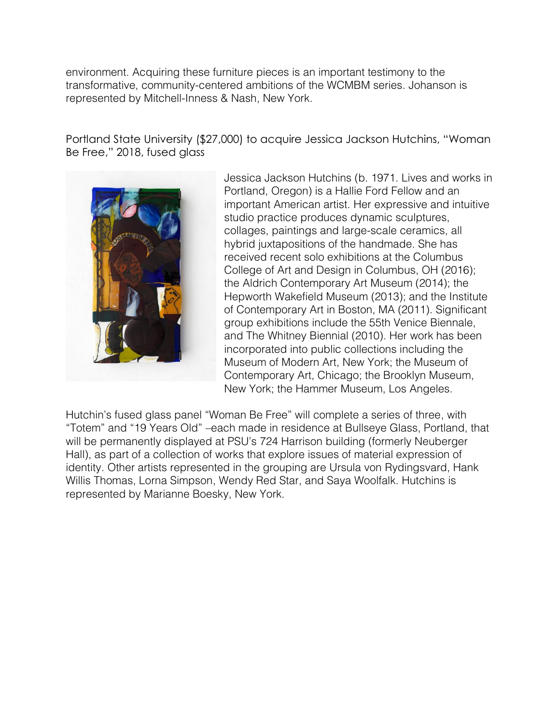environment. Acquiring these furniture pieces is an important testimony to the transformative, community-centered ambitions of the WCMBM series. Johanson is represented by Mitchell-Inness & Nash, New York.

Portland State University (\$27,000) to acquire Jessica Jackson Hutchins, "Woman Be Free," 2018, fused glass



Jessica Jackson Hutchins (b. 1971. Lives and works in Portland, Oregon) is a Hallie Ford Fellow and an important American artist. Her expressive and intuitive studio practice produces dynamic sculptures, collages, paintings and large-scale ceramics, all hybrid juxtapositions of the handmade. She has received recent solo exhibitions at the Columbus College of Art and Design in Columbus, OH (2016); the Aldrich Contemporary Art Museum (2014); the Hepworth Wakefield Museum (2013); and the Institute of Contemporary Art in Boston, MA (2011). Significant group exhibitions include the 55th Venice Biennale, and The Whitney Biennial (2010). Her work has been incorporated into public collections including the Museum of Modern Art, New York; the Museum of Contemporary Art, Chicago; the Brooklyn Museum, New York; the Hammer Museum, Los Angeles.

Hutchin's fused glass panel "Woman Be Free" will complete a series of three, with "Totem" and "19 Years Old" –each made in residence at Bullseye Glass, Portland, that will be permanently displayed at PSU's 724 Harrison building (formerly Neuberger Hall), as part of a collection of works that explore issues of material expression of identity. Other artists represented in the grouping are Ursula von Rydingsvard, Hank Willis Thomas, Lorna Simpson, Wendy Red Star, and Saya Woolfalk. Hutchins is represented by Marianne Boesky, New York.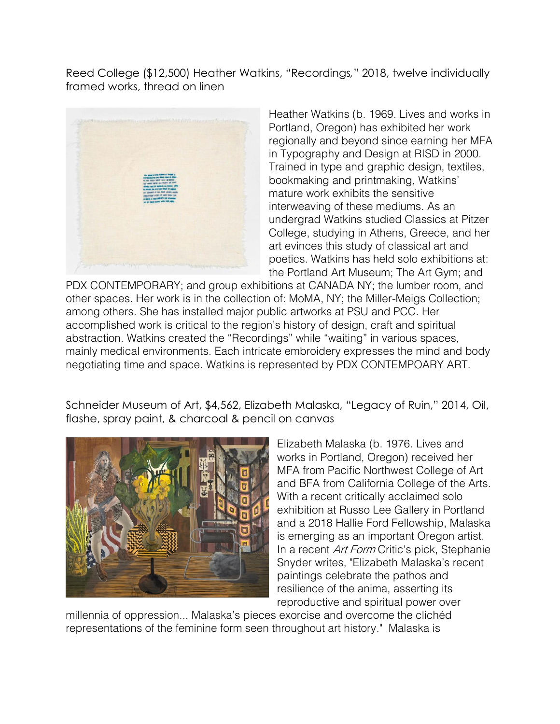Reed College (\$12,500) Heather Watkins, "Recordings*,*" 2018, twelve individually framed works, thread on linen



Heather Watkins (b. 1969. Lives and works in Portland, Oregon) has exhibited her work regionally and beyond since earning her MFA in Typography and Design at RISD in 2000. Trained in type and graphic design, textiles, bookmaking and printmaking, Watkins' mature work exhibits the sensitive interweaving of these mediums. As an undergrad Watkins studied Classics at Pitzer College, studying in Athens, Greece, and her art evinces this study of classical art and poetics. Watkins has held solo exhibitions at: the Portland Art Museum; The Art Gym; and

PDX CONTEMPORARY; and group exhibitions at CANADA NY; the lumber room, and other spaces. Her work is in the collection of: MoMA, NY; the Miller-Meigs Collection; among others. She has installed major public artworks at PSU and PCC. Her accomplished work is critical to the region's history of design, craft and spiritual abstraction. Watkins created the "Recordings" while "waiting" in various spaces, mainly medical environments. Each intricate embroidery expresses the mind and body negotiating time and space. Watkins is represented by PDX CONTEMPOARY ART.

Schneider Museum of Art, \$4,562, Elizabeth Malaska, "Legacy of Ruin," 2014, Oil, flashe, spray paint, & charcoal & pencil on canvas



Elizabeth Malaska (b. 1976. Lives and works in Portland, Oregon) received her MFA from Pacific Northwest College of Art and BFA from California College of the Arts. With a recent critically acclaimed solo exhibition at Russo Lee Gallery in Portland and a 2018 Hallie Ford Fellowship, Malaska is emerging as an important Oregon artist. In a recent *Art Form* Critic's pick, Stephanie Snyder writes, "Elizabeth Malaska's recent paintings celebrate the pathos and resilience of the anima, asserting its reproductive and spiritual power over

millennia of oppression... Malaska's pieces exorcise and overcome the clichéd representations of the feminine form seen throughout art history." Malaska is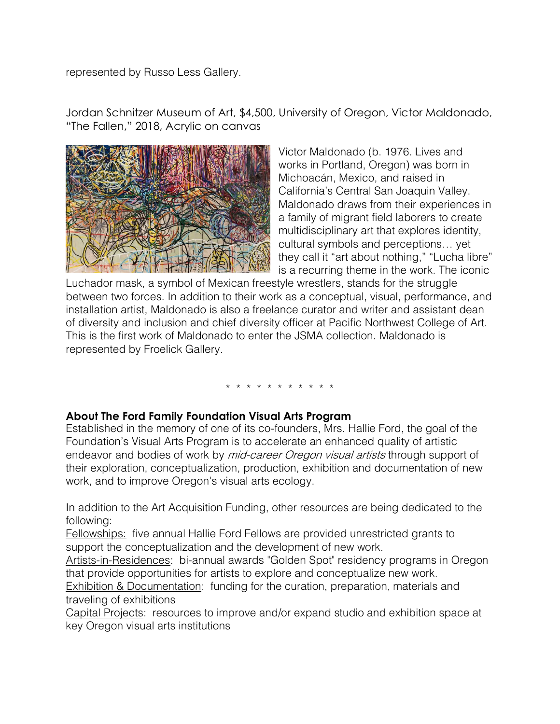represented by Russo Less Gallery.

Jordan Schnitzer Museum of Art, \$4,500, University of Oregon, Victor Maldonado, "The Fallen," 2018, Acrylic on canvas



Victor Maldonado (b. 1976. Lives and works in Portland, Oregon) was born in Michoacán, Mexico, and raised in California's Central San Joaquin Valley. Maldonado draws from their experiences in a family of migrant field laborers to create multidisciplinary art that explores identity, cultural symbols and perceptions… yet they call it "art about nothing," "Lucha libre" is a recurring theme in the work. The iconic

Luchador mask, a symbol of Mexican freestyle wrestlers, stands for the struggle between two forces. In addition to their work as a conceptual, visual, performance, and installation artist, Maldonado is also a freelance curator and writer and assistant dean of diversity and inclusion and chief diversity officer at Pacific Northwest College of Art. This is the first work of Maldonado to enter the JSMA collection. Maldonado is represented by Froelick Gallery.

# \* \* \* \* \* \* \* \* \* \* \*

#### **About The Ford Family Foundation Visual Arts Program**

Established in the memory of one of its co-founders, Mrs. Hallie Ford, the goal of the Foundation's Visual Arts Program is to accelerate an enhanced quality of artistic endeavor and bodies of work by *mid-career Oregon visual artists* through support of their exploration, conceptualization, production, exhibition and documentation of new work, and to improve Oregon's visual arts ecology.

In addition to the Art Acquisition Funding, other resources are being dedicated to the following:

Fellowships: five annual Hallie Ford Fellows are provided unrestricted grants to support the conceptualization and the development of new work.

Artists-in-Residences: bi-annual awards "Golden Spot" residency programs in Oregon that provide opportunities for artists to explore and conceptualize new work.

Exhibition & Documentation: funding for the curation, preparation, materials and traveling of exhibitions

Capital Projects: resources to improve and/or expand studio and exhibition space at key Oregon visual arts institutions